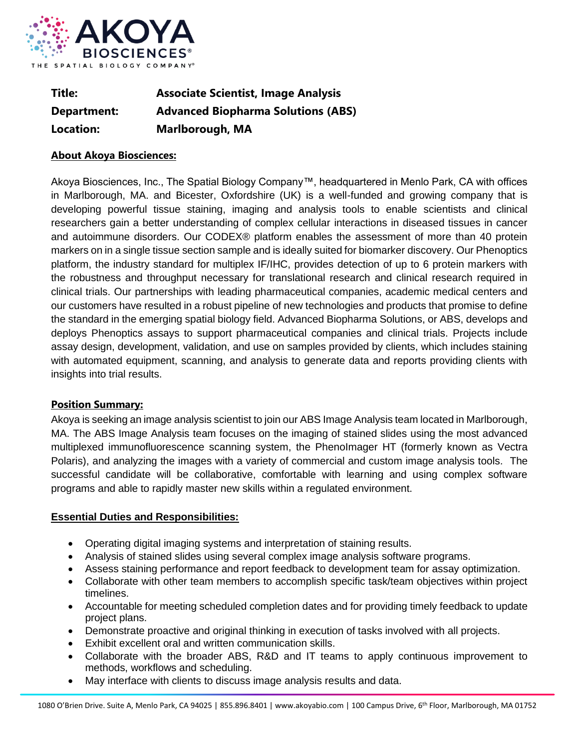

| Title:      | <b>Associate Scientist, Image Analysis</b> |
|-------------|--------------------------------------------|
| Department: | <b>Advanced Biopharma Solutions (ABS)</b>  |
| Location:   | <b>Marlborough, MA</b>                     |

## **About Akoya Biosciences:**

Akoya Biosciences, Inc., The Spatial Biology Company™, headquartered in Menlo Park, CA with offices in Marlborough, MA. and Bicester, Oxfordshire (UK) is a well-funded and growing company that is developing powerful tissue staining, imaging and analysis tools to enable scientists and clinical researchers gain a better understanding of complex cellular interactions in diseased tissues in cancer and autoimmune disorders. Our CODEX® platform enables the assessment of more than 40 protein markers on in a single tissue section sample and is ideally suited for biomarker discovery. Our Phenoptics platform, the industry standard for multiplex IF/IHC, provides detection of up to 6 protein markers with the robustness and throughput necessary for translational research and clinical research required in clinical trials. Our partnerships with leading pharmaceutical companies, academic medical centers and our customers have resulted in a robust pipeline of new technologies and products that promise to define the standard in the emerging spatial biology field. Advanced Biopharma Solutions, or ABS, develops and deploys Phenoptics assays to support pharmaceutical companies and clinical trials. Projects include assay design, development, validation, and use on samples provided by clients, which includes staining with automated equipment, scanning, and analysis to generate data and reports providing clients with insights into trial results.

## **Position Summary:**

Akoya is seeking an image analysis scientist to join our ABS Image Analysis team located in Marlborough, MA. The ABS Image Analysis team focuses on the imaging of stained slides using the most advanced multiplexed immunofluorescence scanning system, the PhenoImager HT (formerly known as Vectra Polaris), and analyzing the images with a variety of commercial and custom image analysis tools. The successful candidate will be collaborative, comfortable with learning and using complex software programs and able to rapidly master new skills within a regulated environment.

## **Essential Duties and Responsibilities:**

- Operating digital imaging systems and interpretation of staining results.
- Analysis of stained slides using several complex image analysis software programs.
- Assess staining performance and report feedback to development team for assay optimization.
- Collaborate with other team members to accomplish specific task/team objectives within project timelines.
- Accountable for meeting scheduled completion dates and for providing timely feedback to update project plans.
- Demonstrate proactive and original thinking in execution of tasks involved with all projects.
- Exhibit excellent oral and written communication skills.
- Collaborate with the broader ABS, R&D and IT teams to apply continuous improvement to methods, workflows and scheduling.
- May interface with clients to discuss image analysis results and data.